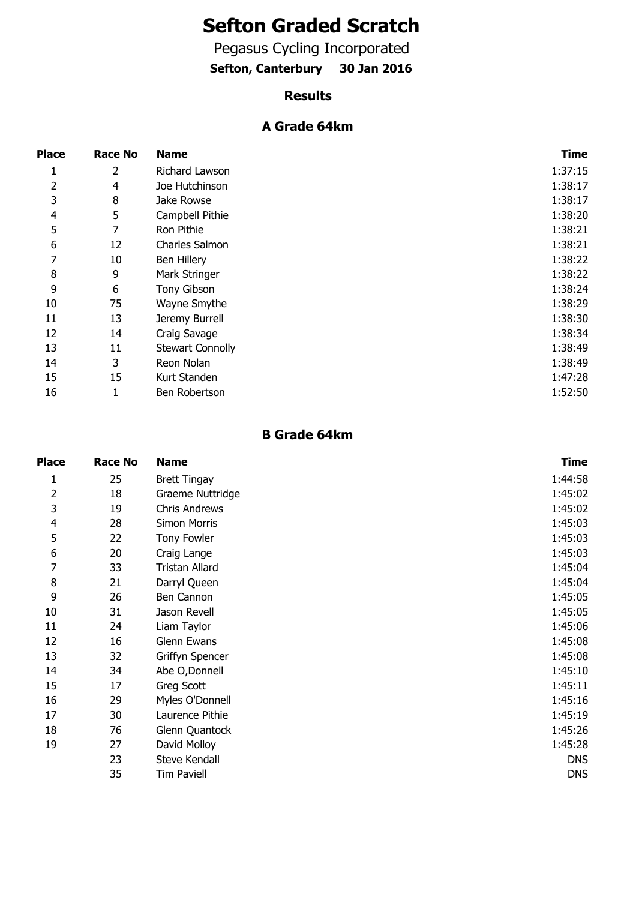# **Sefton Graded Scratch**

Pegasus Cycling Incorporated

**Sefton, Canterbury 30 Jan 2016**

#### **Results**

#### **A Grade 64km**

| <b>Place</b>   | <b>Race No</b> | <b>Name</b>             | <b>Time</b> |
|----------------|----------------|-------------------------|-------------|
| 1              | 2              | Richard Lawson          | 1:37:15     |
| 2              | 4              | Joe Hutchinson          | 1:38:17     |
| 3              | 8              | Jake Rowse              | 1:38:17     |
| $\overline{4}$ | 5              | Campbell Pithie         | 1:38:20     |
| 5              | 7              | Ron Pithie              | 1:38:21     |
| 6              | 12             | Charles Salmon          | 1:38:21     |
| 7              | 10             | Ben Hillery             | 1:38:22     |
| 8              | 9              | Mark Stringer           | 1:38:22     |
| 9              | 6              | Tony Gibson             | 1:38:24     |
| 10             | 75             | Wayne Smythe            | 1:38:29     |
| 11             | 13             | Jeremy Burrell          | 1:38:30     |
| 12             | 14             | Craig Savage            | 1:38:34     |
| 13             | 11             | <b>Stewart Connolly</b> | 1:38:49     |
| 14             | 3              | Reon Nolan              | 1:38:49     |
| 15             | 15             | Kurt Standen            | 1:47:28     |
| 16             | 1              | Ben Robertson           | 1:52:50     |

#### **B Grade 64km**

| <b>Place</b> | <b>Race No</b> | <b>Name</b>          | Time       |
|--------------|----------------|----------------------|------------|
| 1            | 25             | <b>Brett Tingay</b>  | 1:44:58    |
| 2            | 18             | Graeme Nuttridge     | 1:45:02    |
| 3            | 19             | <b>Chris Andrews</b> | 1:45:02    |
| 4            | 28             | <b>Simon Morris</b>  | 1:45:03    |
| 5            | 22             | <b>Tony Fowler</b>   | 1:45:03    |
| 6            | 20             | Craig Lange          | 1:45:03    |
| 7            | 33             | Tristan Allard       | 1:45:04    |
| 8            | 21             | Darryl Queen         | 1:45:04    |
| 9            | 26             | Ben Cannon           | 1:45:05    |
| 10           | 31             | Jason Revell         | 1:45:05    |
| 11           | 24             | Liam Taylor          | 1:45:06    |
| 12           | 16             | Glenn Ewans          | 1:45:08    |
| 13           | 32             | Griffyn Spencer      | 1:45:08    |
| 14           | 34             | Abe O, Donnell       | 1:45:10    |
| 15           | 17             | Greg Scott           | 1:45:11    |
| 16           | 29             | Myles O'Donnell      | 1:45:16    |
| 17           | 30             | Laurence Pithie      | 1:45:19    |
| 18           | 76             | Glenn Quantock       | 1:45:26    |
| 19           | 27             | David Molloy         | 1:45:28    |
|              | 23             | <b>Steve Kendall</b> | <b>DNS</b> |
|              | 35             | <b>Tim Paviell</b>   | <b>DNS</b> |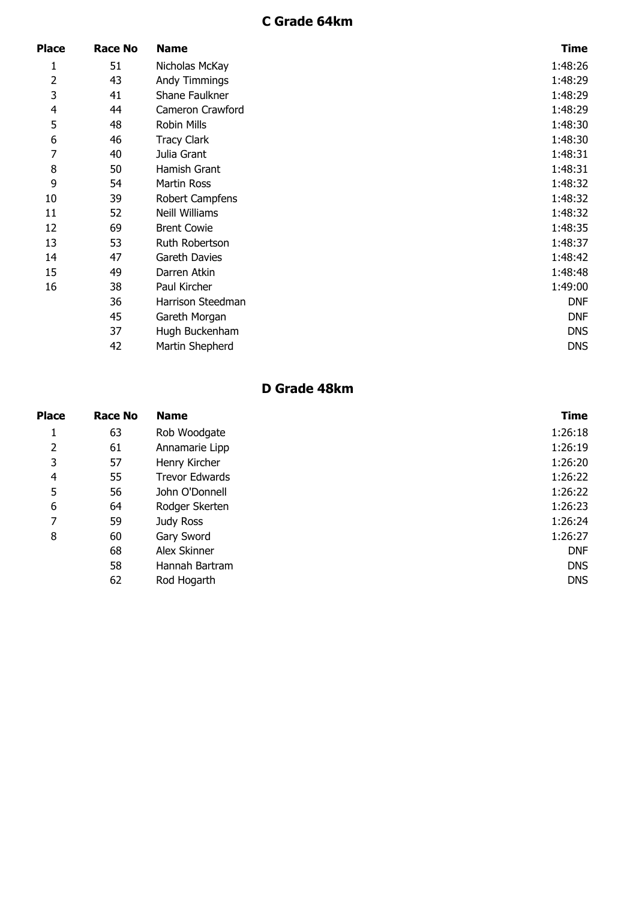## **C Grade 64km**

| Place          | <b>Race No</b> | <b>Name</b>           | <b>Time</b> |
|----------------|----------------|-----------------------|-------------|
| 1              | 51             | Nicholas McKay        | 1:48:26     |
| 2              | 43             | <b>Andy Timmings</b>  | 1:48:29     |
| 3              | 41             | Shane Faulkner        | 1:48:29     |
| $\overline{4}$ | 44             | Cameron Crawford      | 1:48:29     |
| 5              | 48             | Robin Mills           | 1:48:30     |
| 6              | 46             | <b>Tracy Clark</b>    | 1:48:30     |
| 7              | 40             | Julia Grant           | 1:48:31     |
| 8              | 50             | Hamish Grant          | 1:48:31     |
| 9              | 54             | Martin Ross           | 1:48:32     |
| 10             | 39             | Robert Campfens       | 1:48:32     |
| 11             | 52             | <b>Neill Williams</b> | 1:48:32     |
| 12             | 69             | <b>Brent Cowie</b>    | 1:48:35     |
| 13             | 53             | Ruth Robertson        | 1:48:37     |
| 14             | 47             | Gareth Davies         | 1:48:42     |
| 15             | 49             | Darren Atkin          | 1:48:48     |
| 16             | 38             | Paul Kircher          | 1:49:00     |
|                | 36             | Harrison Steedman     | <b>DNF</b>  |
|                | 45             | Gareth Morgan         | <b>DNF</b>  |
|                | 37             | Hugh Buckenham        | <b>DNS</b>  |
|                | 42             | Martin Shepherd       | <b>DNS</b>  |

## **D Grade 48km**

| <b>Race No</b> | <b>Name</b>           | <b>Time</b> |
|----------------|-----------------------|-------------|
| 63             | Rob Woodgate          | 1:26:18     |
| 61             | Annamarie Lipp        | 1:26:19     |
| 57             | Henry Kircher         | 1:26:20     |
| 55             | <b>Trevor Edwards</b> | 1:26:22     |
| 56             | John O'Donnell        | 1:26:22     |
| 64             | Rodger Skerten        | 1:26:23     |
| 59             | Judy Ross             | 1:26:24     |
| 60             | Gary Sword            | 1:26:27     |
| 68             | Alex Skinner          | <b>DNF</b>  |
| 58             | Hannah Bartram        | <b>DNS</b>  |
| 62             | Rod Hogarth           | <b>DNS</b>  |
|                |                       |             |